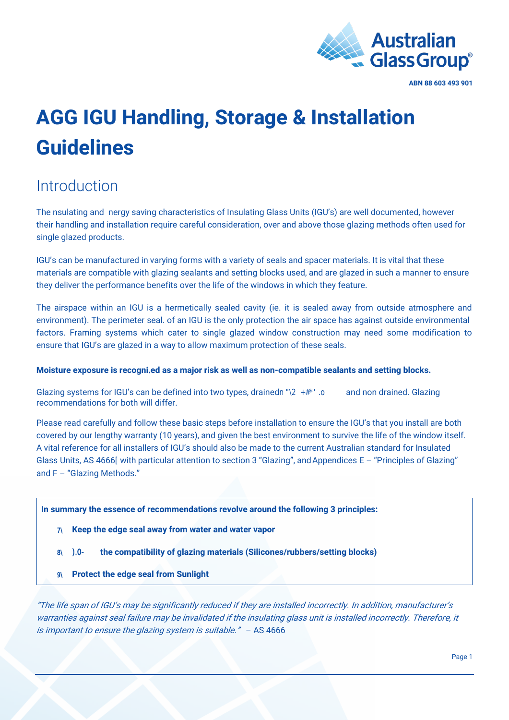

# **AGG IGU Handling, Storage & Installation Guidelines**

### **Introduction**

The nsulating and nergy saving characteristics of Insulating Glass Units (IGU's) are well documented, however their handling and installation require careful consideration, over and above those glazing methods often used for single glazed products.

IGU's can be manufactured in varying forms with a variety of seals and spacer materials. It is vital that these materials are compatible with glazing sealants and setting blocks used, and are glazed in such a manner to ensure they deliver the performance benefits over the life of the windows in which they feature.

The airspace within an IGU is a hermetically sealed cavity (ie. it is sealed away from outside atmosphere and environment). The perimeter seal. of an IGU is the only protection the air space has against outside environmental factors. Framing systems which cater to single glazed window construction may need some modification to ensure that IGU's are glazed in a way to allow maximum protection of these seals.

#### **Moisture exposure is recogni.ed as a major risk as well as non-compatible sealants and setting blocks.**

Glazing systems for IGU's can be defined into two types, drained pM UMMP and non drained. Glazing recommendations for both will differ.

Please read carefully and follow these basic steps before installation to ensure the IGU's that you install are both covered by our lengthy warranty (10 years), and given the best environment to survive the life of the window itself. A vital reference for all installers of IGU's should also be made to the current Australian standard for Insulated Glass Units, AS 4666 [with particular attention to section 3 "Glazing", and Appendices E – "Principles of Glazing" and F – "Glazing Methods."

**In summary the essence of recommendations revolve around the following 3 principles:** 

- **7\ Keep the edge seal away from water and water vapor**
- **8\ ).0- the compatibility of glazing materials (Silicones/rubbers/setting blocks)**
- **9\ Protect the edge seal from Sunlight**

"The life span of IGU's may be significantly reduced if they are installed incorrectly. In addition, manufacturer's warranties against seal failure may be invalidated if the insulating glass unit is installed incorrectly. Therefore, it is important to ensure the glazing system is suitable."  $-$  AS 4666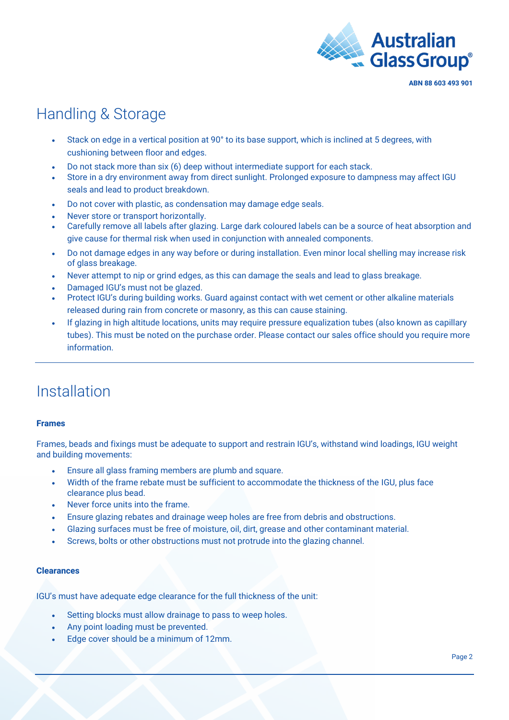

### Handling & Storage

- Stack on edge in a vertical position at 90° to its base support, which is inclined at 5 degrees, with cushioning between floor and edges.
- Do not stack more than six (6) deep without intermediate support for each stack.
- Store in a dry environment away from direct sunlight. Prolonged exposure to dampness may affect IGU seals and lead to product breakdown.
- Do not cover with plastic, as condensation may damage edge seals.
- Never store or transport horizontally.
- Carefully remove all labels after glazing. Large dark coloured labels can be a source of heat absorption and give cause for thermal risk when used in conjunction with annealed components.
- Do not damage edges in any way before or during installation. Even minor local shelling may increase risk of glass breakage.
- Never attempt to nip or grind edges, as this can damage the seals and lead to glass breakage.
- Damaged IGU's must not be glazed.
- Protect IGU's during building works. Guard against contact with wet cement or other alkaline materials released during rain from concrete or masonry, as this can cause staining.
- If glazing in high altitude locations, units may require pressure equalization tubes (also known as capillary tubes). This must be noted on the purchase order. Please contact our sales office should you require more information.

### Installation

#### **Frames**

Frames, beads and fixings must be adequate to support and restrain IGU's, withstand wind loadings, IGU weight and building movements:

- Ensure all glass framing members are plumb and square.
- Width of the frame rebate must be sufficient to accommodate the thickness of the IGU, plus face clearance plus bead.
- Never force units into the frame.
- Ensure glazing rebates and drainage weep holes are free from debris and obstructions.
- Glazing surfaces must be free of moisture, oil, dirt, grease and other contaminant material.
- Screws, bolts or other obstructions must not protrude into the glazing channel.

#### **Clearances**

IGU's must have adequate edge clearance for the full thickness of the unit:

- Setting blocks must allow drainage to pass to weep holes.
- Any point loading must be prevented.
- Edge cover should be a minimum of 12mm.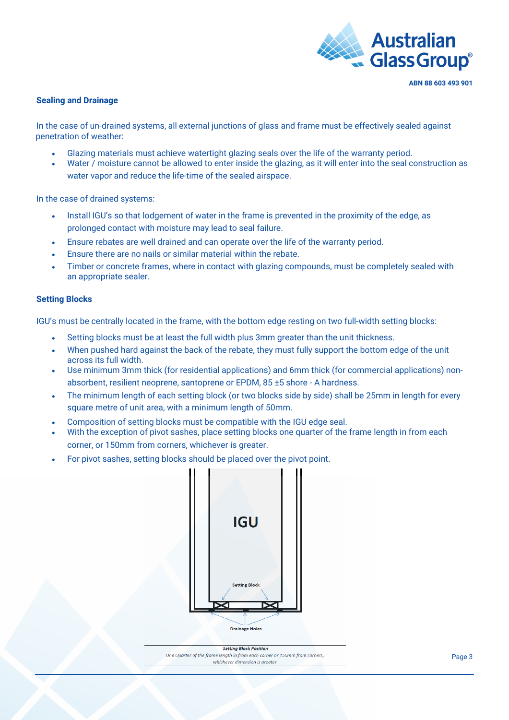

#### **Sealing and Drainage**

In the case of un-drained systems, all external junctions of glass and frame must be effectively sealed against penetration of weather:

- Glazing materials must achieve watertight glazing seals over the life of the warranty period.
- Water / moisture cannot be allowed to enter inside the glazing, as it will enter into the seal construction as water vapor and reduce the life-time of the sealed airspace.

In the case of drained systems:

- Install IGU's so that lodgement of water in the frame is prevented in the proximity of the edge, as prolonged contact with moisture may lead to seal failure.
- Ensure rebates are well drained and can operate over the life of the warranty period.
- Ensure there are no nails or similar material within the rebate.
- Timber or concrete frames, where in contact with glazing compounds, must be completely sealed with an appropriate sealer.

#### **Setting Blocks**

IGU's must be centrally located in the frame, with the bottom edge resting on two full-width setting blocks:

- Setting blocks must be at least the full width plus 3mm greater than the unit thickness.
- When pushed hard against the back of the rebate, they must fully support the bottom edge of the unit across its full width.
- Use minimum 3mm thick (for residential applications) and 6mm thick (for commercial applications) nonabsorbent, resilient neoprene, santoprene or EPDM, 85 ±5 shore - A hardness.
- The minimum length of each setting block (or two blocks side by side) shall be 25mm in length for every square metre of unit area, with a minimum length of 50mm.
- Composition of setting blocks must be compatible with the IGU edge seal.
- With the exception of pivot sashes, place setting blocks one quarter of the frame length in from each corner, or 150mm from corners, whichever is greater.
- For pivot sashes, setting blocks should be placed over the pivot point.



**Setting Block Position** One Quarter of the frame length in from each corner or 150mm from corners, whichever dimension is greate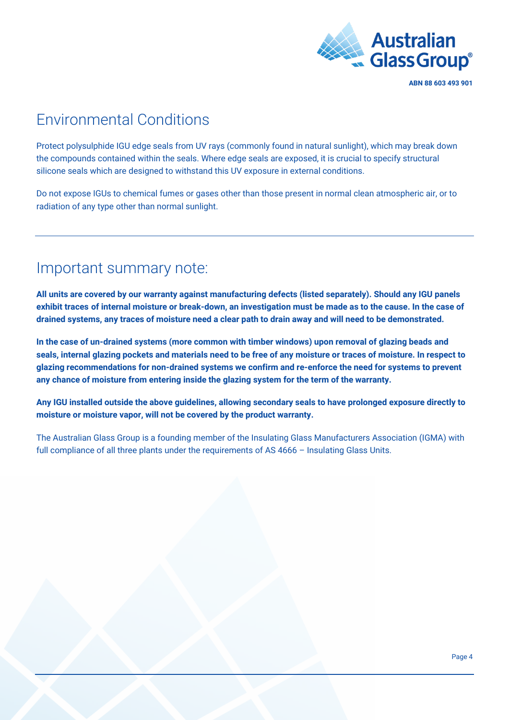

### Environmental Conditions

Protect polysulphide IGU edge seals from UV rays (commonly found in natural sunlight), which may break down the compounds contained within the seals. Where edge seals are exposed, it is crucial to specify structural silicone seals which are designed to withstand this UV exposure in external conditions.

Do not expose IGUs to chemical fumes or gases other than those present in normal clean atmospheric air, or to radiation of any type other than normal sunlight.

### Important summary note:

**All units are covered by our warranty against manufacturing defects (listed separately). Should any IGU panels exhibit traces of internal moisture or break-down, an investigation must be made as to the cause. In the case of drained systems, any traces of moisture need a clear path to drain away and will need to be demonstrated.** 

**In the case of un-drained systems (more common with timber windows) upon removal of glazing beads and seals, internal glazing pockets and materials need to be free of any moisture or traces of moisture. In respect to glazing recommendations for non-drained systems we confirm and re-enforce the need for systems to prevent any chance of moisture from entering inside the glazing system for the term of the warranty.** 

**Any IGU installed outside the above guidelines, allowing secondary seals to have prolonged exposure directly to moisture or moisture vapor, will not be covered by the product warranty.** 

The Australian Glass Group is a founding member of the Insulating Glass Manufacturers Association (IGMA) with full compliance of all three plants under the requirements of AS 4666 – Insulating Glass Units.